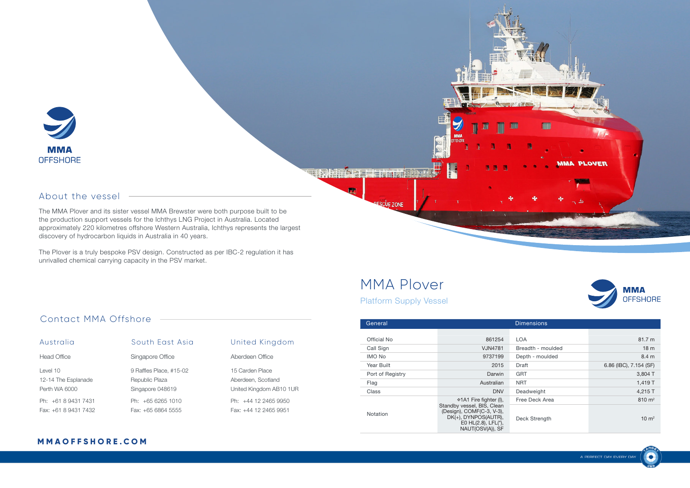

#### About the vessel

The MMA Plover and its sister vessel MMA Brewster were both purpose built to be the production support vessels for the Ichthys LNG Project in Australia. Located approximately 220 kilometres offshore Western Australia, Ichthys represents the largest discovery of hydrocarbon liquids in Australia in 40 years.

The Plover is a truly bespoke PSV design. Constructed as per IBC-2 regulation it has unrivalled chemical carrying capacity in the PSV market.

# MMA Plover

CLIE ZONE

**THE RELEASED TO BE A 21 YEAR** 

Platform Supply Vessel

**MMA OFFSHORE** 

**MMA PLOVER** 

| General          |                                                                                                                            | <b>Dimensions</b> |                        |
|------------------|----------------------------------------------------------------------------------------------------------------------------|-------------------|------------------------|
|                  |                                                                                                                            |                   |                        |
| Official No      | 861254                                                                                                                     | <b>LOA</b>        | 81.7 m                 |
| Call Sign        | <b>VJN4781</b>                                                                                                             | Breadth - moulded | 18 <sub>m</sub>        |
| <b>IMO No</b>    | 9737199                                                                                                                    | Depth - moulded   | 8.4 m                  |
| Year Built       | 2015                                                                                                                       | Draft             | 6.86 (IBC), 7.154 (SF) |
| Port of Registry | Darwin                                                                                                                     | <b>GRT</b>        | 3,804 T                |
| Flag             | Australian                                                                                                                 | <b>NRT</b>        | 1,419 T                |
| Class            | <b>DNV</b>                                                                                                                 | Deadweight        | 4,215 T                |
|                  | ⊕1A1 Fire fighter (I),                                                                                                     | Free Deck Area    | $810 \text{ m}^2$      |
| Notation         | Standby vessel, BIS, Clean<br>(Design), COMF(C-3, V-3),<br>DK(+), DYNPOS(AUTR),<br>E0 HL(2.8), LFL(*),<br>NAUT(OSV(A)), SF | Deck Strength     | $10 \text{ m}^2$       |

### Contact MMA Offshore

| Australia           | South East Asia         |  |
|---------------------|-------------------------|--|
| Head Office         | Singapore Office        |  |
| Level 10            | 9 Raffles Place, #15-02 |  |
| 12-14 The Esplanade | Republic Plaza          |  |
| Perth WA 6000       | Singapore 048619        |  |
| $Ph: +61894317431$  | $Ph: +6562651010$       |  |
| $Fax + 61894317432$ | Fax: +65 6864 5555      |  |

### **United Kingdom** Aberdeen Office 15 Carden Place Aberdeen, Scotland United Kingdom AB10 1UR Ph: +44 12 2465 9950 Fax: +44 12 2465 9951

#### **M M A O F F S H O R E . C O M**